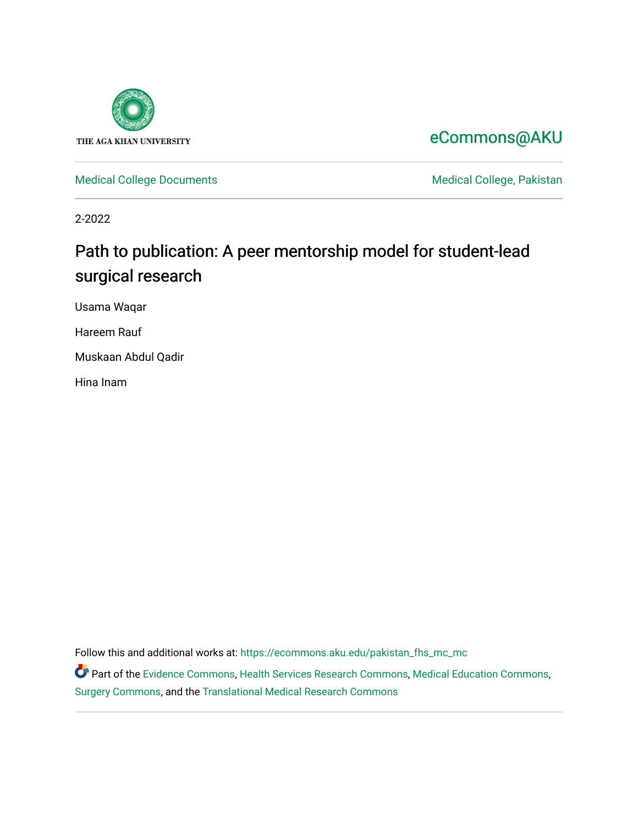

# [eCommons@AKU](https://ecommons.aku.edu/)

[Medical College Documents](https://ecommons.aku.edu/pakistan_fhs_mc_mc) **Medical College, Pakistan** 

2-2022

# Path to publication: A peer mentorship model for student-lead surgical research

Usama Waqar

Hareem Rauf

Muskaan Abdul Qadir

Hina Inam

Follow this and additional works at: [https://ecommons.aku.edu/pakistan\\_fhs\\_mc\\_mc](https://ecommons.aku.edu/pakistan_fhs_mc_mc?utm_source=ecommons.aku.edu%2Fpakistan_fhs_mc_mc%2F255&utm_medium=PDF&utm_campaign=PDFCoverPages) 

Part of the [Evidence Commons,](http://network.bepress.com/hgg/discipline/601?utm_source=ecommons.aku.edu%2Fpakistan_fhs_mc_mc%2F255&utm_medium=PDF&utm_campaign=PDFCoverPages) [Health Services Research Commons,](http://network.bepress.com/hgg/discipline/816?utm_source=ecommons.aku.edu%2Fpakistan_fhs_mc_mc%2F255&utm_medium=PDF&utm_campaign=PDFCoverPages) [Medical Education Commons,](http://network.bepress.com/hgg/discipline/1125?utm_source=ecommons.aku.edu%2Fpakistan_fhs_mc_mc%2F255&utm_medium=PDF&utm_campaign=PDFCoverPages) [Surgery Commons](http://network.bepress.com/hgg/discipline/706?utm_source=ecommons.aku.edu%2Fpakistan_fhs_mc_mc%2F255&utm_medium=PDF&utm_campaign=PDFCoverPages), and the [Translational Medical Research Commons](http://network.bepress.com/hgg/discipline/1124?utm_source=ecommons.aku.edu%2Fpakistan_fhs_mc_mc%2F255&utm_medium=PDF&utm_campaign=PDFCoverPages)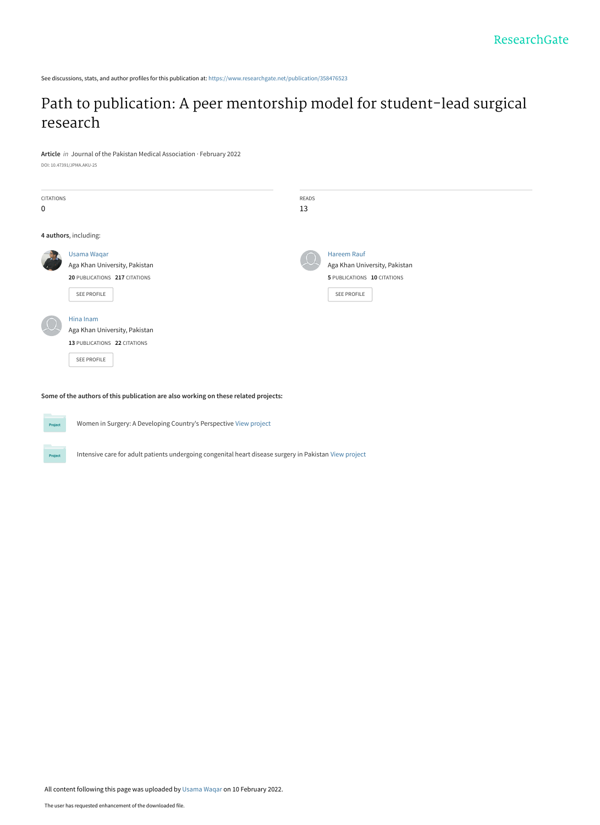See discussions, stats, and author profiles for this publication at: [https://www.researchgate.net/publication/358476523](https://www.researchgate.net/publication/358476523_Path_to_publication_A_peer_mentorship_model_for_student-lead_surgical_research?enrichId=rgreq-7ad758398109e483eba3d126acf8baeb-XXX&enrichSource=Y292ZXJQYWdlOzM1ODQ3NjUyMztBUzoxMTIxOTI3NDY4OTg2MzcwQDE2NDQ0OTk3NjEyODc%3D&el=1_x_2&_esc=publicationCoverPdf)

### [Path to publication: A peer mentorship model for student-lead surgical](https://www.researchgate.net/publication/358476523_Path_to_publication_A_peer_mentorship_model_for_student-lead_surgical_research?enrichId=rgreq-7ad758398109e483eba3d126acf8baeb-XXX&enrichSource=Y292ZXJQYWdlOzM1ODQ3NjUyMztBUzoxMTIxOTI3NDY4OTg2MzcwQDE2NDQ0OTk3NjEyODc%3D&el=1_x_3&_esc=publicationCoverPdf) research

**Article** in Journal of the Pakistan Medical Association · February 2022

DOI: 10.47391/JPMA.AKU-25

| CITATIONS |                               | READS |                               |
|-----------|-------------------------------|-------|-------------------------------|
| 0         |                               | 13    |                               |
|           |                               |       |                               |
|           | 4 authors, including:         |       |                               |
|           | <b>Usama Waqar</b>            |       | <b>Hareem Rauf</b>            |
|           | Aga Khan University, Pakistan |       | Aga Khan University, Pakistan |
|           | 20 PUBLICATIONS 217 CITATIONS |       | 5 PUBLICATIONS 10 CITATIONS   |
|           | SEE PROFILE                   |       | SEE PROFILE                   |
|           | Hina Inam                     |       |                               |
|           | Aga Khan University, Pakistan |       |                               |
|           | 13 PUBLICATIONS 22 CITATIONS  |       |                               |
|           | SEE PROFILE                   |       |                               |
|           |                               |       |                               |

**Some of the authors of this publication are also working on these related projects:**



Project

Women in Surgery: A Developing Country's Perspective [View project](https://www.researchgate.net/project/Women-in-Surgery-A-Developing-Countrys-Perspective?enrichId=rgreq-7ad758398109e483eba3d126acf8baeb-XXX&enrichSource=Y292ZXJQYWdlOzM1ODQ3NjUyMztBUzoxMTIxOTI3NDY4OTg2MzcwQDE2NDQ0OTk3NjEyODc%3D&el=1_x_9&_esc=publicationCoverPdf)

Intensive care for adult patients undergoing congenital heart disease surgery in Pakistan [View project](https://www.researchgate.net/project/Intensive-care-for-adult-patients-undergoing-congenital-heart-disease-surgery-in-Pakistan?enrichId=rgreq-7ad758398109e483eba3d126acf8baeb-XXX&enrichSource=Y292ZXJQYWdlOzM1ODQ3NjUyMztBUzoxMTIxOTI3NDY4OTg2MzcwQDE2NDQ0OTk3NjEyODc%3D&el=1_x_9&_esc=publicationCoverPdf)

All content following this page was uploaded by [Usama Waqar](https://www.researchgate.net/profile/Usama-Waqar?enrichId=rgreq-7ad758398109e483eba3d126acf8baeb-XXX&enrichSource=Y292ZXJQYWdlOzM1ODQ3NjUyMztBUzoxMTIxOTI3NDY4OTg2MzcwQDE2NDQ0OTk3NjEyODc%3D&el=1_x_10&_esc=publicationCoverPdf) on 10 February 2022.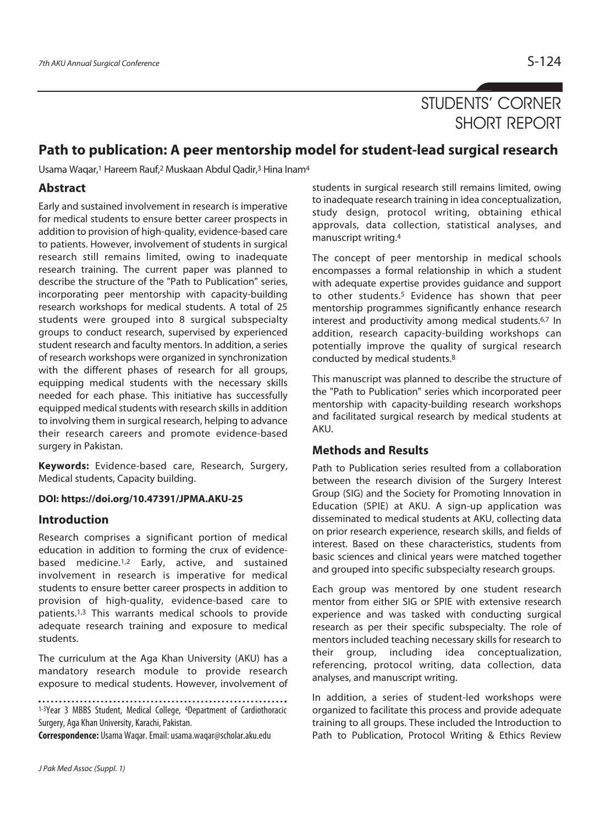## STUDENTS' CORNER SHORT REPORT

### **Path to publication: A peer mentorship model for student-lead surgical research**

Usama Waqar,1 Hareem Rauf,2 Muskaan Abdul Qadir,3 Hina Inam4

### **Abstract**

Early and sustained involvement in research is imperative for medical students to ensure better career prospects in addition to provision of high-quality, evidence-based care to patients. However, involvement of students in surgical research still remains limited, owing to inadequate research training. The current paper was planned to describe the structure of the "Path to Publication" series, incorporating peer mentorship with capacity-building research workshops for medical students. A total of 25 students were grouped into 8 surgical subspecialty groups to conduct research, supervised by experienced student research and faculty mentors. In addition, a series of research workshops were organized in synchronization with the different phases of research for all groups, equipping medical students with the necessary skills needed for each phase. This initiative has successfully equipped medical students with research skills in addition to involving them in surgical research, helping to advance their research careers and promote evidence-based surgery in Pakistan.

**Keywords:** Evidence-based care, Research, Surgery, Medical students, Capacity building.

#### **DOI: https://doi.org/10.47391/JPMA.AKU-25**

#### **Introduction**

Research comprises a significant portion of medical education in addition to forming the crux of evidencebased medicine.1,2 Early, active, and sustained involvement in research is imperative for medical students to ensure better career prospects in addition to provision of high-quality, evidence-based care to patients.1,3 This warrants medical schools to provide adequate research training and exposure to medical students.

The curriculum at the Aga Khan University (AKU) has a mandatory research module to provide research exposure to medical students. However, involvement of

1-3Year 3 MBBS Student, Medical College, <sup>4</sup>Department of Cardiothoracic Surgery, Aga Khan University, Karachi, Pakistan.

**Correspondence:** Usama Waqar. Email: usama.waqar@scholar.aku.edu

students in surgical research still remains limited, owing to inadequate research training in idea conceptualization, study design, protocol writing, obtaining ethical approvals, data collection, statistical analyses, and manuscript writing.4

The concept of peer mentorship in medical schools encompasses a formal relationship in which a student with adequate expertise provides guidance and support to other students.5 Evidence has shown that peer mentorship programmes significantly enhance research interest and productivity among medical students.6,7 In addition, research capacity-building workshops can potentially improve the quality of surgical research conducted by medical students.8

This manuscript was planned to describe the structure of the "Path to Publication" series which incorporated peer mentorship with capacity-building research workshops and facilitated surgical research by medical students at AKU.

#### **Methods and Results**

Path to Publication series resulted from a collaboration between the research division of the Surgery Interest Group (SIG) and the Society for Promoting Innovation in Education (SPIE) at AKU. A sign-up application was disseminated to medical students at AKU, collecting data on prior research experience, research skills, and fields of interest. Based on these characteristics, students from basic sciences and clinical years were matched together and grouped into specific subspecialty research groups.

Each group was mentored by one student research mentor from either SIG or SPIE with extensive research experience and was tasked with conducting surgical research as per their specific subspecialty. The role of mentors included teaching necessary skills for research to their group, including idea conceptualization, referencing, protocol writing, data collection, data analyses, and manuscript writing.

In addition, a series of student-led workshops were organized to facilitate this process and provide adequate training to all groups. These included the Introduction to Path to Publication, Protocol Writing & Ethics Review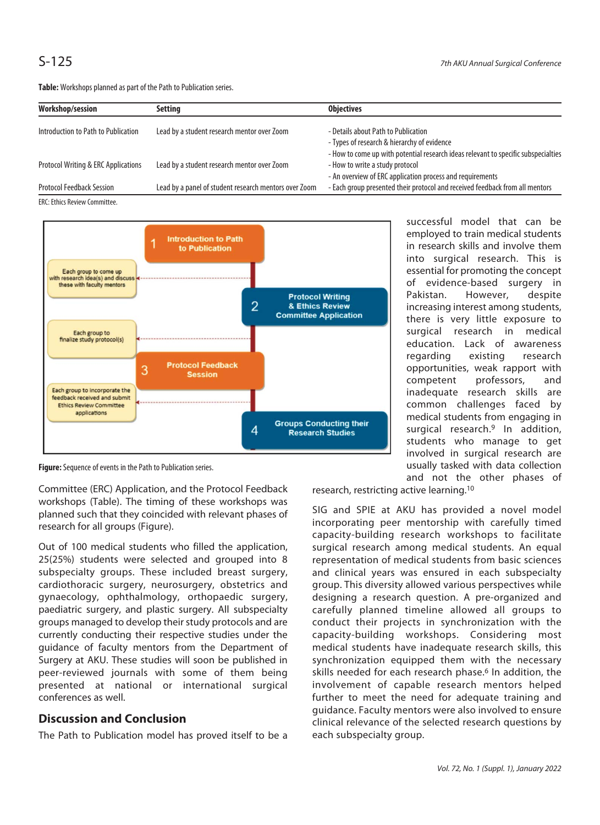**Table:** Workshops planned as part of the Path to Publication series.

| Workshop/session                                                                                                                                                                                                                                                  | Setting                                               | <b>Objectives</b>                                                                  |
|-------------------------------------------------------------------------------------------------------------------------------------------------------------------------------------------------------------------------------------------------------------------|-------------------------------------------------------|------------------------------------------------------------------------------------|
| Introduction to Path to Publication                                                                                                                                                                                                                               | Lead by a student research mentor over Zoom           | - Details about Path to Publication                                                |
|                                                                                                                                                                                                                                                                   |                                                       | - Types of research & hierarchy of evidence                                        |
|                                                                                                                                                                                                                                                                   |                                                       | - How to come up with potential research ideas relevant to specific subspecialties |
| <b>Protocol Writing &amp; ERC Applications</b>                                                                                                                                                                                                                    | Lead by a student research mentor over Zoom           | - How to write a study protocol                                                    |
|                                                                                                                                                                                                                                                                   |                                                       | - An overview of ERC application process and requirements                          |
| <b>Protocol Feedback Session</b>                                                                                                                                                                                                                                  | Lead by a panel of student research mentors over Zoom | - Each group presented their protocol and received feedback from all mentors       |
| $F \cap C$ , $F_4$ , $F_5$ , $F_6$ , $F_7$ , $F_7$ , $F_8$ , $F_9$ , $F_9$ , $F_9$ , $F_9$ , $F_9$ , $F_9$ , $F_9$ , $F_9$ , $F_9$ , $F_9$ , $F_9$ , $F_9$ , $F_9$ , $F_9$ , $F_9$ , $F_9$ , $F_9$ , $F_9$ , $F_9$ , $F_9$ , $F_9$ , $F_9$ , $F_9$ , $F_9$ , $F_$ |                                                       |                                                                                    |

ERC: Ethics Review Committee.



**Figure:** Sequence of events in the Path to Publication series.

Committee (ERC) Application, and the Protocol Feedback workshops (Table). The timing of these workshops was planned such that they coincided with relevant phases of research for all groups (Figure).

Out of 100 medical students who filled the application, 25(25%) students were selected and grouped into 8 subspecialty groups. These included breast surgery, cardiothoracic surgery, neurosurgery, obstetrics and gynaecology, ophthalmology, orthopaedic surgery, paediatric surgery, and plastic surgery. All subspecialty groups managed to develop their study protocols and are currently conducting their respective studies under the guidance of faculty mentors from the Department of Surgery at AKU. These studies will soon be published in peer-reviewed journals with some of them being presented at national or international surgical conferences as well.

### **Discussion and Conclusion**

The Path to Publication model has proved itself to be a

successful model that can be employed to train medical students in research skills and involve them into surgical research. This is essential for promoting the concept of evidence-based surgery in Pakistan. However, despite increasing interest among students, there is very little exposure to surgical research in medical education. Lack of awareness regarding existing research opportunities, weak rapport with competent professors, and inadequate research skills are common challenges faced by medical students from engaging in surgical research.9 In addition, students who manage to get involved in surgical research are usually tasked with data collection and not the other phases of

research, restricting active learning.10

SIG and SPIE at AKU has provided a novel model incorporating peer mentorship with carefully timed capacity-building research workshops to facilitate surgical research among medical students. An equal representation of medical students from basic sciences and clinical years was ensured in each subspecialty group. This diversity allowed various perspectives while designing a research question. A pre-organized and carefully planned timeline allowed all groups to conduct their projects in synchronization with the capacity-building workshops. Considering most medical students have inadequate research skills, this synchronization equipped them with the necessary skills needed for each research phase.<sup>6</sup> In addition, the involvement of capable research mentors helped further to meet the need for adequate training and guidance. Faculty mentors were also involved to ensure clinical relevance of the selected research questions by each subspecialty group.